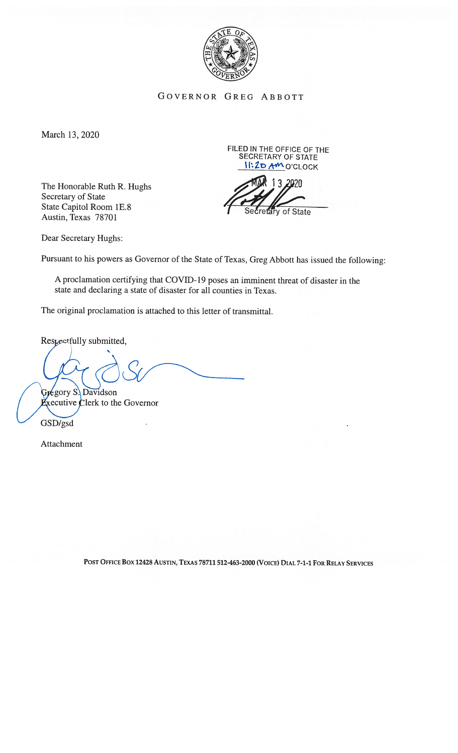

GOVERNOR GREG ABBOTT

March 13, 2020

The Honorable Ruth R. Hughs Secretary of State State Capitol Room 1E.8 Austin, Texas 78701

FILED IN THE OFFICE OF THE SECRETARY OF STATE I**I:20 AM** O'CLOCK

13 2020 of State

Dear Secretary Hughs:

Pursuant to his powers as Governor of the State of Texas, Greg Abbott has issued the following:

A proclamation certifying that COVID-19 poses an imminent threat of disaster in the state and declaring <sup>a</sup> state of disaster for all counties in Texas.

The original proclamation is attached to this letter of transmittal.

Respectfully submitted,

Gregory S. Davidson

Sxecutive Clerk to the Governor

GSD/gsd

Attachment

POST OFFICE BOX 12428 AUSTIN, TEXAS 78711 512-463-2000 (VOICE) DIAL 7-1-1 FOR RELAY SERVICES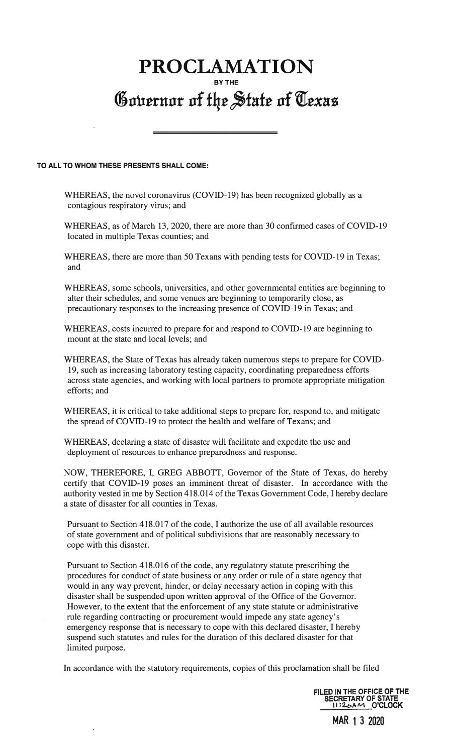## PROCLAMATION <sup>BY THE</sup> State of Cexas<br>Governor of the State of Cexas

## TO ALL TO WHOM THESE PRESENTS SHALL COME:

WHEREAS, the novel coronavirus (COVID-19) has been recognized globally as a contagious respiratory virus; and

WHEREAS, as of March 13, 2020, there are more than 30 confirmed cases of COVID-19 located in multiple Texas counties; and

WHEREAS, there are more than 50 Texans with pending tests for COVID-19 in Texas; and

WHEREAS, some schools, universities, and other governmental entities are beginning to alter their schedules, and some venues are beginning to temporarily close, as precautionary responses to the increasing presence of COVID- 19 in Texas; and

WHEREAS, costs incurred to prepare for and respond to COVID-19 are beginning to mount at the state and local levels; and

WHEREAS, the State of Texas has already taken numerous steps to prepare for COVID 19, such as increasing laboratory testing capacity, coordinating preparedness efforts across state agencies, and working with local partners to promote appropriate mitigation efforts; and

WHEREAS, it is critical to take additional steps to prepare for, respond to, and mitigate the spread of COVID-19 to protect the health and welfare of Texans; and

WHEREAS, declaring a state of disaster will facilitate and expedite the use and deployment of resources to enhance preparedness and response.

NOW, THEREFORE, I, GREG ABBOTT, Governor of the State of Texas, do hereby certify that COVID-19 poses an imminent threat of disaster. In accordance with the authority vested in me by Section 418.014 of the Texas Government Code, I hereby declare a state of disaster for all counties in Texas.

Pursuant to Section 418.017 of the code, I authorize the use of all available resources of state government and of political subdivisions that are reasonably necessary to cope with this disaster.

Pursuant to Section 418.016 of the code, any regulatory statute prescribing the procedures for conduct of state business or any order or rule of a state agency that would in any way prevent, hinder, or delay necessary action in coping with this disaster shall be suspended upon written approval of the Office of the Governor. However, to the extent that the enforcement of any state statute or administrative rule regarding contracting or procurement would impede any state agency's emergency response that is necessary to cope with this declared disaster, I hereby suspend such statutes and rules for the duration of this declared disaster for that limited purpose.

In accordance with the statutory requirements, copies of this proclamation shall be filed

FILED IN THE OFFICE OF THE SECRETARY OF STATE<br>II:2<sub>0</sub>AM\_O'CLOCK

MAR 13 2020